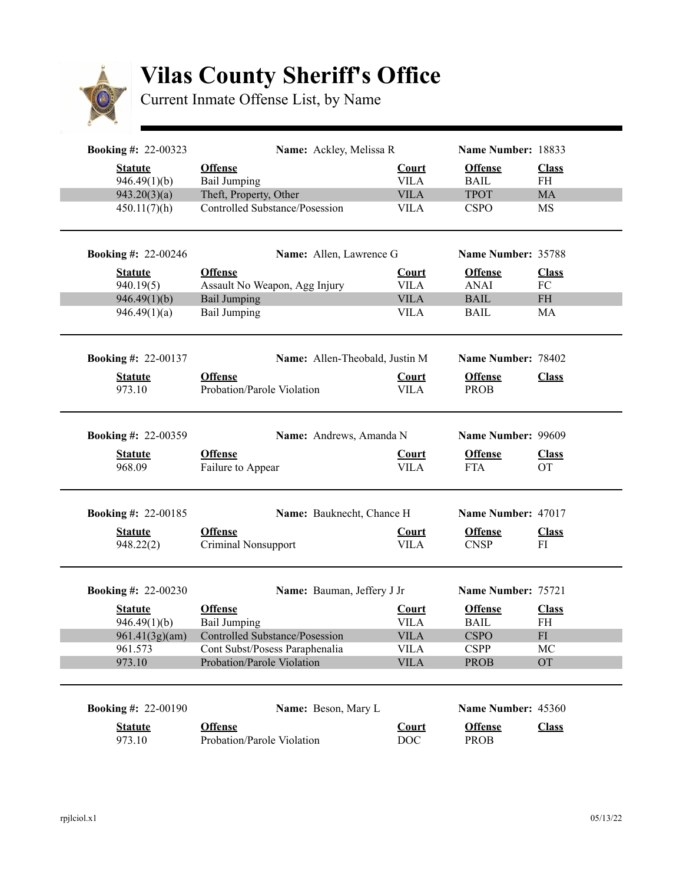

## **Vilas County Sheriff's Office**

Current Inmate Offense List, by Name

| <b>Booking #: 22-00323</b>     | Name: Ackley, Melissa R                       |                                | Name Number: 18833            |                    |
|--------------------------------|-----------------------------------------------|--------------------------------|-------------------------------|--------------------|
| <b>Statute</b><br>946.49(1)(b) | <b>Offense</b><br><b>Bail Jumping</b>         | <b>Court</b><br><b>VILA</b>    | <b>Offense</b><br><b>BAIL</b> | <b>Class</b><br>FH |
| 943.20(3)(a)                   | Theft, Property, Other                        | <b>VILA</b>                    | <b>TPOT</b>                   | MA                 |
| 450.11(7)(h)                   | <b>Controlled Substance/Posession</b>         | <b>VILA</b>                    | <b>CSPO</b>                   | MS                 |
| <b>Booking #: 22-00246</b>     | Name: Allen, Lawrence G                       |                                | Name Number: 35788            |                    |
| <b>Statute</b>                 | <b>Offense</b>                                | <b>Court</b>                   | <b>Offense</b>                | <b>Class</b>       |
| 940.19(5)                      | Assault No Weapon, Agg Injury                 | <b>VILA</b>                    | <b>ANAI</b>                   | ${\rm FC}$         |
| 946.49(1)(b)                   | <b>Bail Jumping</b>                           | <b>VILA</b>                    | <b>BAIL</b>                   | <b>FH</b>          |
| 946.49(1)(a)                   | Bail Jumping                                  | <b>VILA</b>                    | <b>BAIL</b>                   | MA                 |
| <b>Booking #: 22-00137</b>     |                                               | Name: Allen-Theobald, Justin M | Name Number: 78402            |                    |
| <b>Statute</b>                 | <b>Offense</b>                                | <b>Court</b>                   | <b>Offense</b>                | <b>Class</b>       |
| 973.10                         | Probation/Parole Violation                    | <b>VILA</b>                    | <b>PROB</b>                   |                    |
|                                |                                               |                                |                               |                    |
| <b>Booking #: 22-00359</b>     |                                               | Name: Andrews, Amanda N        | Name Number: 99609            |                    |
| <b>Statute</b>                 | <b>Offense</b>                                | <b>Court</b>                   | <b>Offense</b>                | <b>Class</b>       |
| 968.09                         | Failure to Appear                             | <b>VILA</b>                    | <b>FTA</b>                    | <b>OT</b>          |
| <b>Booking #: 22-00185</b>     |                                               | Name: Bauknecht, Chance H      | Name Number: 47017            |                    |
| <b>Statute</b>                 | <b>Offense</b>                                | <b>Court</b>                   | <b>Offense</b>                | <b>Class</b>       |
| 948.22(2)                      | Criminal Nonsupport                           | <b>VILA</b>                    | <b>CNSP</b>                   | FI                 |
|                                |                                               |                                |                               |                    |
| <b>Booking #: 22-00230</b>     |                                               | Name: Bauman, Jeffery J Jr     | Name Number: 75721            |                    |
| <b>Statute</b>                 | <b>Offense</b>                                | <b>Court</b>                   | <b>Offense</b>                | <b>Class</b>       |
| 946.49(1)(b)                   | Bail Jumping                                  | <b>VILA</b>                    | <b>BAIL</b>                   | FH                 |
|                                | 961.41(3g)(am) Controlled Substance/Posession | <b>VILA</b>                    | <b>CSPO</b>                   | ${\rm FI}$         |
| 961.573                        | Cont Subst/Posess Paraphenalia                | <b>VILA</b>                    | <b>CSPP</b>                   | MC                 |
| 973.10                         | Probation/Parole Violation                    | <b>VILA</b>                    | PROB                          | OT                 |
| <b>Booking #: 22-00190</b>     | Name: Beson, Mary L                           |                                | Name Number: 45360            |                    |
|                                |                                               |                                |                               |                    |
| <b>Statute</b>                 | <b>Offense</b>                                | <u>Court</u>                   | <b>Offense</b>                | <b>Class</b>       |
| 973.10                         | Probation/Parole Violation                    | <b>DOC</b>                     | <b>PROB</b>                   |                    |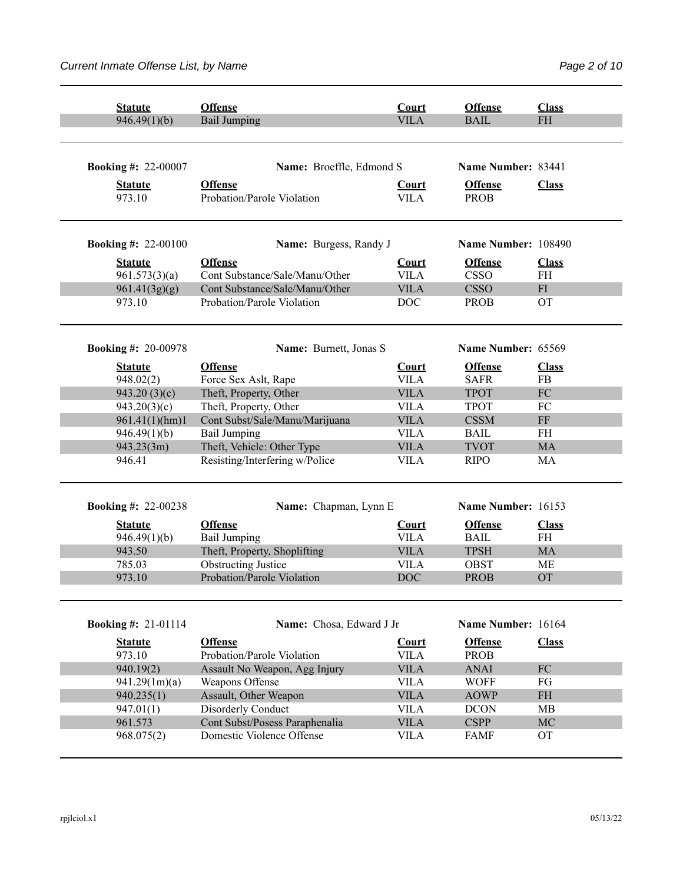| <b>Statute</b>             | <b>Offense</b>                               | Court                       | <b>Offense</b>                | <b>Class</b>                      |
|----------------------------|----------------------------------------------|-----------------------------|-------------------------------|-----------------------------------|
| 946.49(1)(b)               | <b>Bail Jumping</b>                          | <b>VILA</b>                 | <b>BAIL</b>                   | <b>FH</b>                         |
|                            |                                              |                             |                               |                                   |
|                            |                                              |                             |                               |                                   |
| <b>Booking #: 22-00007</b> | Name: Broeffle, Edmond S                     |                             | Name Number: 83441            |                                   |
| <b>Statute</b><br>973.10   | <b>Offense</b><br>Probation/Parole Violation | <b>Court</b><br><b>VILA</b> | <b>Offense</b><br><b>PROB</b> | <b>Class</b>                      |
| <b>Booking #: 22-00100</b> | Name: Burgess, Randy J                       |                             | Name Number: 108490           |                                   |
| <b>Statute</b>             | <b>Offense</b>                               | <b>Court</b>                | <b>Offense</b>                | <b>Class</b>                      |
| 961.573(3)(a)              | Cont Substance/Sale/Manu/Other               | <b>VILA</b>                 | <b>CSSO</b>                   | FH                                |
| 961.41(3g)(g)              | Cont Substance/Sale/Manu/Other               | <b>VILA</b>                 | <b>CSSO</b>                   | FI                                |
| 973.10                     | Probation/Parole Violation                   | <b>DOC</b>                  | <b>PROB</b>                   | <b>OT</b>                         |
| <b>Booking #: 20-00978</b> | Name: Burnett, Jonas S                       |                             | Name Number: 65569            |                                   |
| <b>Statute</b>             | <b>Offense</b>                               | Court                       | <b>Offense</b>                | <b>Class</b>                      |
| 948.02(2)                  | Force Sex Aslt, Rape                         | <b>VILA</b>                 | <b>SAFR</b>                   | FB                                |
| 943.20(3)(c)               | Theft, Property, Other                       | <b>VILA</b>                 | <b>TPOT</b>                   | FC                                |
| 943.20(3)(c)               | Theft, Property, Other                       | <b>VILA</b>                 | <b>TPOT</b>                   | FC                                |
| 961.41(1)(hm)1             | Cont Subst/Sale/Manu/Marijuana               | <b>VILA</b>                 | <b>CSSM</b>                   | $\rm FF$                          |
| 946.49(1)(b)               | <b>Bail Jumping</b>                          | <b>VILA</b>                 | <b>BAIL</b>                   | <b>FH</b>                         |
| 943.23(3m)                 | Theft, Vehicle: Other Type                   | <b>VILA</b>                 | <b>TVOT</b>                   | <b>MA</b>                         |
| 946.41                     | Resisting/Interfering w/Police               | <b>VILA</b>                 | <b>RIPO</b>                   | MA                                |
| <b>Booking #: 22-00238</b> | Name: Chapman, Lynn E                        |                             | Name Number: 16153            |                                   |
| <b>Statute</b>             | <b>Offense</b>                               | Court                       | <b>Offense</b>                | <b>Class</b>                      |
| 946.49(1)(b)               | <b>Bail Jumping</b>                          | <b>VILA</b>                 | <b>BAIL</b>                   | FH                                |
| 943.50                     | Theft, Property, Shoplifting                 | <b>VILA</b>                 | <b>TPSH</b>                   | MA                                |
| 785.03                     | <b>Obstructing Justice</b>                   | <b>VILA</b>                 | <b>OBST</b>                   | МE                                |
| 973.10                     | Probation/Parole Violation                   | <b>DOC</b>                  | <b>PROB</b>                   | <b>OT</b>                         |
|                            |                                              |                             |                               |                                   |
| <b>Booking #: 21-01114</b> | Name: Chosa, Edward J Jr                     |                             | Name Number: 16164            |                                   |
| <b>Statute</b><br>973.10   | <b>Offense</b><br>Probation/Parole Violation | Court<br><b>VILA</b>        | <b>Offense</b><br><b>PROB</b> | <b>Class</b>                      |
| 940.19(2)                  | Assault No Weapon, Agg Injury                | <b>VILA</b>                 | <b>ANAI</b>                   | ${\rm FC}$                        |
| 941.29(1m)(a)              | Weapons Offense                              | <b>VILA</b>                 | <b>WOFF</b>                   | FG                                |
| 940.235(1)                 | Assault, Other Weapon                        | <b>VILA</b>                 | <b>AOWP</b>                   | $\ensuremath{\mathsf{FH}}\xspace$ |
| 947.01(1)                  | Disorderly Conduct                           | <b>VILA</b>                 | <b>DCON</b>                   | MB                                |
| 961.573                    | Cont Subst/Posess Paraphenalia               | <b>VILA</b>                 | <b>CSPP</b>                   | MC                                |
| 968.075(2)                 | Domestic Violence Offense                    | <b>VILA</b>                 | <b>FAMF</b>                   | <b>OT</b>                         |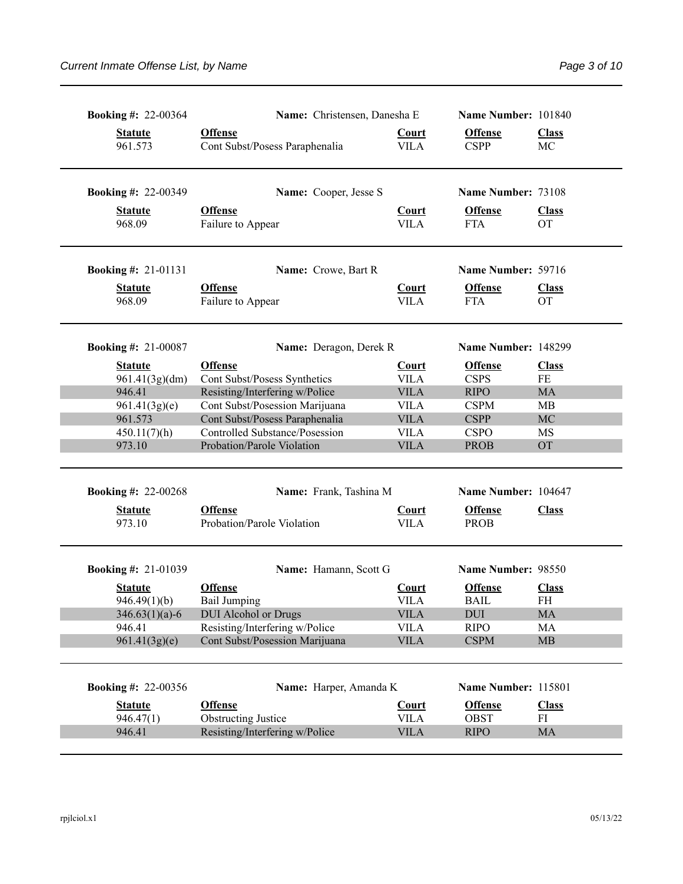| <b>Booking #: 22-00364</b> | Name: Christensen, Danesha E                                     |                             | Name Number: 101840           |                           |
|----------------------------|------------------------------------------------------------------|-----------------------------|-------------------------------|---------------------------|
| <b>Statute</b><br>961.573  | <b>Offense</b><br>Cont Subst/Posess Paraphenalia                 | <b>Court</b><br><b>VILA</b> | <b>Offense</b><br><b>CSPP</b> | <b>Class</b><br>MC        |
| <b>Booking #: 22-00349</b> | Name: Cooper, Jesse S                                            |                             | Name Number: 73108            |                           |
| <b>Statute</b><br>968.09   | <b>Offense</b><br>Failure to Appear                              | <b>Court</b><br><b>VILA</b> | <b>Offense</b><br><b>FTA</b>  | <b>Class</b><br><b>OT</b> |
| <b>Booking #: 21-01131</b> | Name: Crowe, Bart R                                              |                             | Name Number: 59716            |                           |
| <b>Statute</b><br>968.09   | <b>Offense</b><br>Failure to Appear                              | <b>Court</b><br><b>VILA</b> | <b>Offense</b><br><b>FTA</b>  | <b>Class</b><br><b>OT</b> |
| <b>Booking #: 21-00087</b> | Name: Deragon, Derek R                                           |                             | Name Number: 148299           |                           |
| <b>Statute</b>             | <b>Offense</b>                                                   | <b>Court</b>                | <b>Offense</b>                | <b>Class</b>              |
| 961.41(3g)(dm)             | Cont Subst/Posess Synthetics                                     | <b>VILA</b>                 | <b>CSPS</b>                   | $\rm FE$                  |
| 946.41                     | Resisting/Interfering w/Police                                   | <b>VILA</b>                 | <b>RIPO</b>                   | <b>MA</b>                 |
| 961.41(3g)(e)<br>961.573   | Cont Subst/Posession Marijuana<br>Cont Subst/Posess Paraphenalia | <b>VILA</b><br><b>VILA</b>  | <b>CSPM</b><br><b>CSPP</b>    | MB<br>MC                  |
| 450.11(7)(h)               | <b>Controlled Substance/Posession</b>                            | <b>VILA</b>                 | <b>CSPO</b>                   | MS                        |
| 973.10                     | Probation/Parole Violation                                       | <b>VILA</b>                 | <b>PROB</b>                   | <b>OT</b>                 |
| <b>Booking #: 22-00268</b> | Name: Frank, Tashina M                                           |                             | Name Number: 104647           |                           |
| <b>Statute</b><br>973.10   | <b>Offense</b><br>Probation/Parole Violation                     | <b>Court</b><br><b>VILA</b> | <b>Offense</b><br><b>PROB</b> | <b>Class</b>              |
| <b>Booking #: 21-01039</b> | Name: Hamann, Scott G                                            |                             | Name Number: 98550            |                           |
| <b>Statute</b>             | <b>Offense</b>                                                   | Court                       | <b>Offense</b>                | <b>Class</b>              |
| 946.49(1)(b)               | Bail Jumping                                                     | <b>VILA</b>                 | <b>BAIL</b>                   | FH                        |
| $346.63(1)(a)-6$           | <b>DUI</b> Alcohol or Drugs                                      | <b>VILA</b>                 | <b>DUI</b>                    | <b>MA</b>                 |
| 946.41                     | Resisting/Interfering w/Police                                   | <b>VILA</b>                 | <b>RIPO</b>                   | МA                        |
| 961.41(3g)(e)              | Cont Subst/Posession Marijuana                                   | <b>VILA</b>                 | <b>CSPM</b>                   | <b>MB</b>                 |
| <b>Booking #: 22-00356</b> | Name: Harper, Amanda K                                           |                             | Name Number: 115801           |                           |
| <b>Statute</b>             | <b>Offense</b>                                                   | <b>Court</b>                | <b>Offense</b>                | <b>Class</b>              |
| 946.47(1)                  | <b>Obstructing Justice</b>                                       | <b>VILA</b>                 | <b>OBST</b>                   | FI                        |
| 946.41                     | Resisting/Interfering w/Police                                   | <b>VILA</b>                 | <b>RIPO</b>                   | MA                        |
|                            |                                                                  |                             |                               |                           |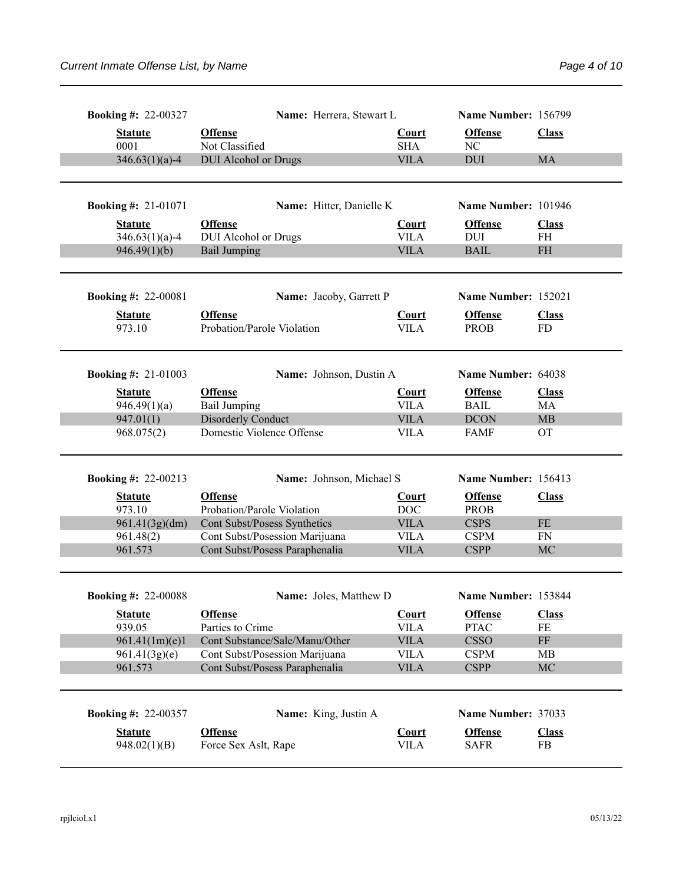| <b>Booking #: 22-00327</b>     |                                              | Name: Herrera, Stewart L       |                             | Name Number: 156799           |                    |
|--------------------------------|----------------------------------------------|--------------------------------|-----------------------------|-------------------------------|--------------------|
| <b>Statute</b><br>0001         | <b>Offense</b><br>Not Classified             |                                | <b>Court</b><br><b>SHA</b>  | <b>Offense</b><br>NC          | <b>Class</b>       |
| $346.63(1)(a)-4$               | <b>DUI</b> Alcohol or Drugs                  |                                | <b>VILA</b>                 | <b>DUI</b>                    | MA                 |
| <b>Booking #: 21-01071</b>     |                                              | Name: Hitter, Danielle K       |                             | Name Number: 101946           |                    |
| <b>Statute</b>                 | <b>Offense</b>                               |                                | <b>Court</b>                | <b>Offense</b>                | <b>Class</b>       |
| $346.63(1)(a)-4$               | <b>DUI</b> Alcohol or Drugs                  |                                | <b>VILA</b>                 | <b>DUI</b>                    | <b>FH</b>          |
| 946.49(1)(b)                   | <b>Bail Jumping</b>                          |                                | <b>VILA</b>                 | <b>BAIL</b>                   | <b>FH</b>          |
| <b>Booking #: 22-00081</b>     |                                              | Name: Jacoby, Garrett P        |                             | Name Number: 152021           |                    |
| <b>Statute</b><br>973.10       | <b>Offense</b><br>Probation/Parole Violation |                                | <b>Court</b><br><b>VILA</b> | <b>Offense</b><br><b>PROB</b> | <b>Class</b><br>FD |
| <b>Booking #: 21-01003</b>     |                                              | Name: Johnson, Dustin A        |                             | Name Number: 64038            |                    |
| <b>Statute</b>                 | <b>Offense</b>                               |                                | <b>Court</b>                | <b>Offense</b>                | <b>Class</b>       |
| 946.49(1)(a)                   | <b>Bail Jumping</b>                          |                                | <b>VILA</b>                 | <b>BAIL</b>                   | MA                 |
| 947.01(1)                      | <b>Disorderly Conduct</b>                    |                                | <b>VILA</b>                 | <b>DCON</b>                   | MB                 |
| 968.075(2)                     | Domestic Violence Offense                    |                                | <b>VILA</b>                 | <b>FAMF</b>                   | <b>OT</b>          |
| <b>Booking #: 22-00213</b>     |                                              | Name: Johnson, Michael S       |                             | Name Number: 156413           |                    |
| <b>Statute</b><br>973.10       | <b>Offense</b><br>Probation/Parole Violation |                                | Court<br>DOC                | <b>Offense</b><br><b>PROB</b> | <b>Class</b>       |
| 961.41(3g)(dm)                 | Cont Subst/Posess Synthetics                 |                                | <b>VILA</b>                 | <b>CSPS</b>                   | $FE$               |
| 961.48(2)                      | Cont Subst/Posession Marijuana               |                                | <b>VILA</b>                 | <b>CSPM</b>                   | FN                 |
| 961.573                        | Cont Subst/Posess Paraphenalia               |                                | <b>VILA</b>                 | <b>CSPP</b>                   | MC                 |
| <b>Booking #: 22-00088</b>     |                                              | Name: Joles, Matthew D         |                             | Name Number: 153844           |                    |
| <b>Statute</b>                 | <b>Offense</b>                               |                                | <b>Court</b>                | <b>Offense</b>                | <b>Class</b>       |
| 939.05                         | Parties to Crime                             |                                | <b>VILA</b>                 | <b>PTAC</b>                   | FE                 |
| 961.41(1m)(e)1                 |                                              | Cont Substance/Sale/Manu/Other | <b>VILA</b>                 | <b>CSSO</b>                   | $\rm FF$           |
| 961.41(3g)(e)                  | Cont Subst/Posession Marijuana               |                                | <b>VILA</b>                 | <b>CSPM</b>                   | <b>MB</b>          |
| 961.573                        | Cont Subst/Posess Paraphenalia               |                                | <b>VILA</b>                 | <b>CSPP</b>                   | MC                 |
|                                |                                              |                                |                             |                               |                    |
| <b>Booking #: 22-00357</b>     |                                              | Name: King, Justin A           |                             | Name Number: 37033            |                    |
|                                |                                              |                                |                             |                               |                    |
| <b>Statute</b><br>948.02(1)(B) | <b>Offense</b><br>Force Sex Aslt, Rape       |                                | <b>Court</b><br><b>VILA</b> | <b>Offense</b><br><b>SAFR</b> | <b>Class</b><br>FB |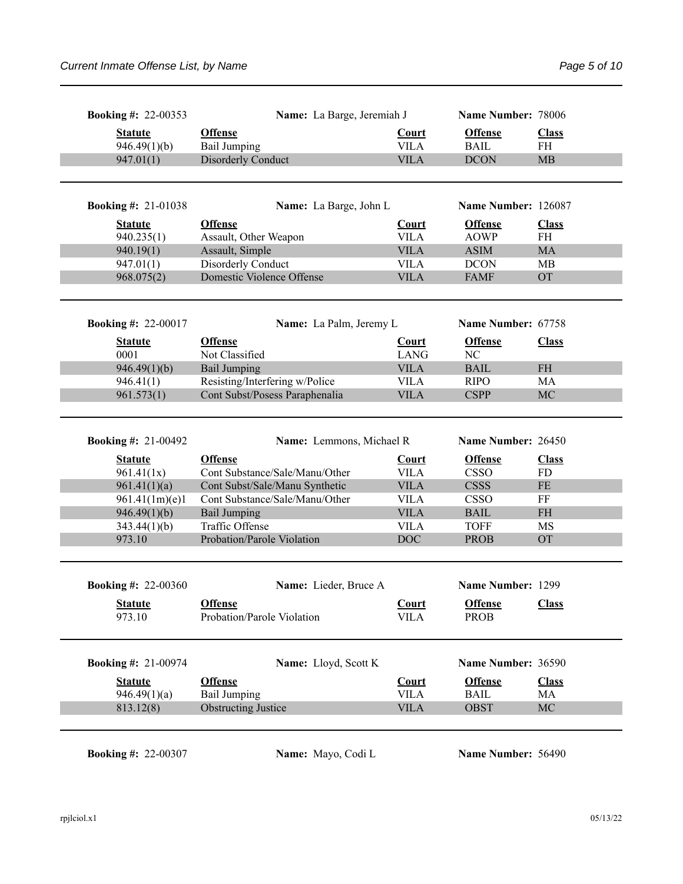| <b>Booking #: 22-00353</b>   | Name: La Barge, Jeremiah J                        |                             | Name Number: 78006            |                           |
|------------------------------|---------------------------------------------------|-----------------------------|-------------------------------|---------------------------|
| <b>Statute</b>               | <b>Offense</b>                                    | <b>Court</b>                | <b>Offense</b>                | <b>Class</b>              |
| 946.49(1)(b)                 | <b>Bail Jumping</b>                               | <b>VILA</b>                 | <b>BAIL</b>                   | FH                        |
| 947.01(1)                    | <b>Disorderly Conduct</b>                         | <b>VILA</b>                 | <b>DCON</b>                   | <b>MB</b>                 |
|                              |                                                   |                             |                               |                           |
| <b>Booking #: 21-01038</b>   | Name: La Barge, John L                            |                             | Name Number: 126087           |                           |
| <b>Statute</b><br>940.235(1) | <b>Offense</b><br>Assault, Other Weapon           | <b>Court</b><br><b>VILA</b> | <b>Offense</b><br><b>AOWP</b> | <b>Class</b><br><b>FH</b> |
| 940.19(1)                    | Assault, Simple                                   | <b>VILA</b>                 | <b>ASIM</b>                   | MA                        |
| 947.01(1)                    | Disorderly Conduct                                | <b>VILA</b>                 | <b>DCON</b>                   | <b>MB</b>                 |
| 968.075(2)                   | Domestic Violence Offense                         | <b>VILA</b>                 | <b>FAMF</b>                   | <b>OT</b>                 |
| <b>Booking #: 22-00017</b>   | Name: La Palm, Jeremy L                           |                             | Name Number: 67758            |                           |
| <b>Statute</b>               | <b>Offense</b>                                    | <b>Court</b>                | <b>Offense</b>                | <b>Class</b>              |
| 0001                         | Not Classified                                    | <b>LANG</b>                 | NC                            |                           |
| 946.49(1)(b)                 | <b>Bail Jumping</b>                               | <b>VILA</b>                 | <b>BAIL</b>                   | <b>FH</b>                 |
| 946.41(1)                    | Resisting/Interfering w/Police                    | <b>VILA</b>                 | <b>RIPO</b>                   | MA                        |
| 961.573(1)                   | Cont Subst/Posess Paraphenalia                    | <b>VILA</b>                 | <b>CSPP</b>                   | MC                        |
|                              |                                                   |                             |                               |                           |
| <b>Booking #: 21-00492</b>   | Name: Lemmons, Michael R                          |                             | Name Number: 26450            |                           |
|                              |                                                   | <b>Court</b>                | <b>Offense</b>                | <b>Class</b>              |
| <b>Statute</b>               | <b>Offense</b>                                    |                             |                               |                           |
| 961.41(1x)                   | Cont Substance/Sale/Manu/Other                    | <b>VILA</b>                 | <b>CSSO</b>                   | <b>FD</b>                 |
| 961.41(1)(a)                 | Cont Subst/Sale/Manu Synthetic                    | <b>VILA</b>                 | <b>CSSS</b>                   | FE                        |
| 961.41(1m)(e)1               | Cont Substance/Sale/Manu/Other                    | <b>VILA</b>                 | <b>CSSO</b>                   | FF                        |
| 946.49(1)(b)                 | <b>Bail Jumping</b>                               | <b>VILA</b>                 | <b>BAIL</b>                   | <b>FH</b>                 |
| 343.44(1)(b)                 | Traffic Offense                                   | <b>VILA</b>                 | <b>TOFF</b>                   | MS                        |
| 973.10                       | Probation/Parole Violation                        | <b>DOC</b>                  | <b>PROB</b>                   | <b>OT</b>                 |
|                              |                                                   |                             |                               |                           |
| <b>Booking #: 22-00360</b>   | Name: Lieder, Bruce A                             |                             | Name Number: 1299             |                           |
| <b>Statute</b>               | <b>Offense</b>                                    | <b>Court</b>                | <b>Offense</b>                | <b>Class</b>              |
| 973.10                       | Probation/Parole Violation                        | <b>VILA</b>                 | <b>PROB</b>                   |                           |
| <b>Booking #: 21-00974</b>   | Name: Lloyd, Scott K                              |                             | Name Number: 36590            |                           |
|                              |                                                   |                             |                               |                           |
| <b>Statute</b>               | <b>Offense</b>                                    | <b>Court</b>                | <b>Offense</b>                | <b>Class</b>              |
| 946.49(1)(a)<br>813.12(8)    | <b>Bail Jumping</b><br><b>Obstructing Justice</b> | <b>VILA</b><br><b>VILA</b>  | <b>BAIL</b><br><b>OBST</b>    | MA<br>MC                  |

**Booking #: 22-00307 Name:** Mayo, Codi L **Name Number:** 56490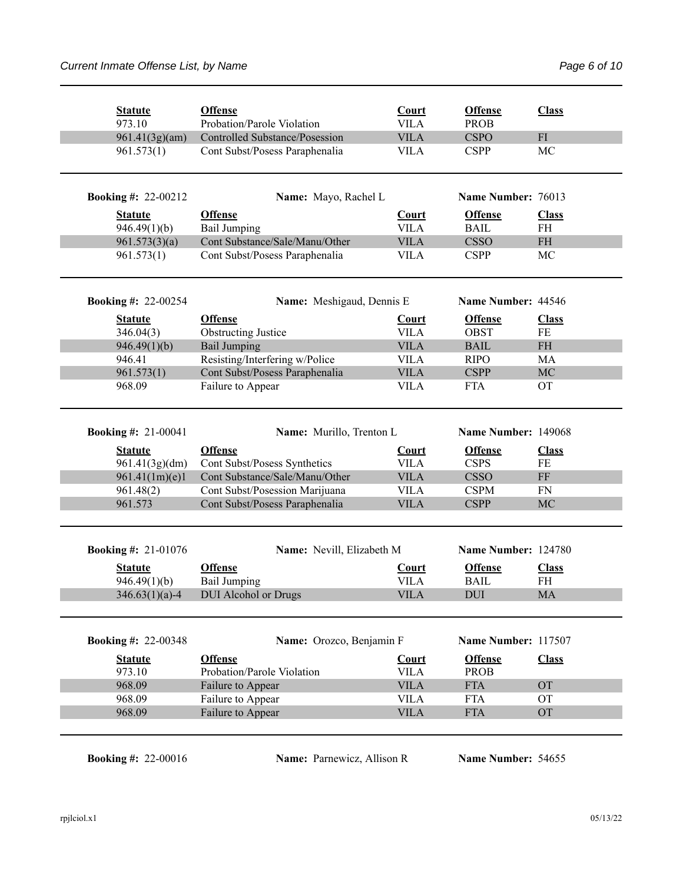| <b>Statute</b><br>973.10         | <b>Offense</b><br>Probation/Parole Violation                     | Court<br><b>VILA</b>        | <b>Offense</b><br><b>PROB</b> | <b>Class</b>       |
|----------------------------------|------------------------------------------------------------------|-----------------------------|-------------------------------|--------------------|
| 961.41(3g)(am)                   | <b>Controlled Substance/Posession</b>                            | <b>VILA</b>                 | <b>CSPO</b>                   | FI                 |
| 961.573(1)                       | Cont Subst/Posess Paraphenalia                                   | <b>VILA</b>                 | <b>CSPP</b>                   | MC                 |
| <b>Booking #: 22-00212</b>       | Name: Mayo, Rachel L                                             |                             | Name Number: 76013            |                    |
| <b>Statute</b>                   | <b>Offense</b>                                                   | <b>Court</b>                | <b>Offense</b>                | <b>Class</b>       |
| 946.49(1)(b)                     | <b>Bail Jumping</b>                                              | <b>VILA</b>                 | <b>BAIL</b>                   | <b>FH</b>          |
| 961.573(3)(a)                    | Cont Substance/Sale/Manu/Other                                   | <b>VILA</b>                 | <b>CSSO</b>                   | <b>FH</b>          |
| 961.573(1)                       | Cont Subst/Posess Paraphenalia                                   | <b>VILA</b>                 | <b>CSPP</b>                   | MC                 |
| <b>Booking #: 22-00254</b>       | Name: Meshigaud, Dennis E                                        |                             | Name Number: 44546            |                    |
| <b>Statute</b>                   | <b>Offense</b>                                                   | <b>Court</b>                | <b>Offense</b>                | <b>Class</b>       |
| 346.04(3)                        | <b>Obstructing Justice</b>                                       | <b>VILA</b>                 | <b>OBST</b>                   | FE                 |
| 946.49(1)(b)                     | <b>Bail Jumping</b>                                              | <b>VILA</b>                 | <b>BAIL</b>                   | $\rm FH$           |
| 946.41                           | Resisting/Interfering w/Police                                   | <b>VILA</b>                 | <b>RIPO</b>                   | MA                 |
| 961.573(1)                       | Cont Subst/Posess Paraphenalia                                   | <b>VILA</b>                 | <b>CSPP</b>                   | MC                 |
| 968.09                           | Failure to Appear                                                | <b>VILA</b>                 | <b>FTA</b>                    | <b>OT</b>          |
|                                  |                                                                  |                             |                               |                    |
| <b>Booking #: 21-00041</b>       | Name: Murillo, Trenton L                                         |                             | Name Number: 149068           |                    |
|                                  |                                                                  |                             |                               |                    |
| <b>Statute</b>                   | <b>Offense</b>                                                   | <b>Court</b><br><b>VILA</b> | <b>Offense</b><br><b>CSPS</b> | <b>Class</b><br>FE |
| 961.41(3g)(dm)                   | Cont Subst/Posess Synthetics<br>Cont Substance/Sale/Manu/Other   | <b>VILA</b>                 | <b>CSSO</b>                   | FF                 |
| 961.41(1m)(e)1                   |                                                                  | <b>VILA</b>                 | <b>CSPM</b>                   | <b>FN</b>          |
| 961.48(2)<br>961.573             | Cont Subst/Posession Marijuana<br>Cont Subst/Posess Paraphenalia | <b>VILA</b>                 | <b>CSPP</b>                   | MC                 |
| <b>Booking #: 21-01076</b>       | Name: Nevill, Elizabeth M                                        |                             | Name Number: 124780           |                    |
|                                  |                                                                  |                             |                               |                    |
| <b>Statute</b>                   | <b>Offense</b>                                                   | <b>Court</b>                | <b>Offense</b>                | <b>Class</b>       |
| 946.49(1)(b)<br>$346.63(1)(a)-4$ | <b>Bail Jumping</b><br><b>DUI</b> Alcohol or Drugs               | <b>VILA</b><br><b>VILA</b>  | <b>BAIL</b><br><b>DUI</b>     | <b>FH</b><br>MA    |
| <b>Booking #: 22-00348</b>       | Name: Orozco, Benjamin F                                         |                             | Name Number: 117507           |                    |
| <b>Statute</b>                   | <b>Offense</b>                                                   | <b>Court</b>                | <b>Offense</b>                | <b>Class</b>       |
| 973.10                           | Probation/Parole Violation                                       | <b>VILA</b>                 | <b>PROB</b>                   |                    |
| 968.09                           | Failure to Appear                                                | <b>VILA</b>                 | <b>FTA</b>                    | <b>OT</b>          |
| 968.09                           | Failure to Appear                                                | <b>VILA</b>                 | <b>FTA</b>                    | <b>OT</b>          |
| 968.09                           | Failure to Appear                                                | <b>VILA</b>                 | <b>FTA</b>                    | <b>OT</b>          |

**Booking #:** 22-00016 **Name:** Parnewicz, Allison R **Name Number:** 54655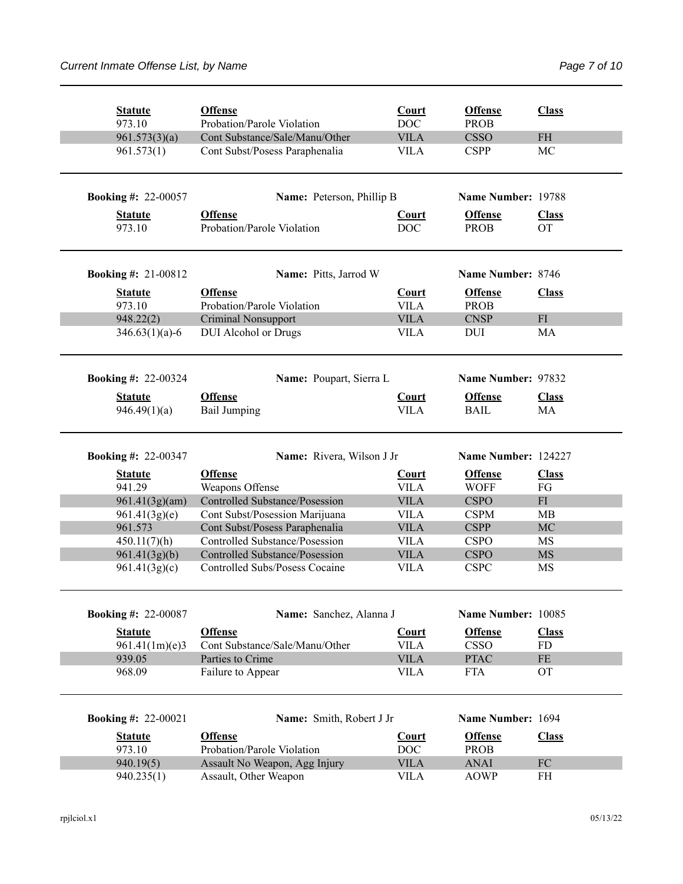| <b>Statute</b><br>973.10   | <b>Offense</b><br>Probation/Parole Violation           | Court<br><b>DOC</b>         | <b>Offense</b><br><b>PROB</b> | <b>Class</b>     |
|----------------------------|--------------------------------------------------------|-----------------------------|-------------------------------|------------------|
| 961.573(3)(a)              | Cont Substance/Sale/Manu/Other                         | <b>VILA</b>                 | <b>CSSO</b>                   | <b>FH</b>        |
| 961.573(1)                 | Cont Subst/Posess Paraphenalia                         | <b>VILA</b>                 | <b>CSPP</b>                   | MC               |
| <b>Booking #: 22-00057</b> | Name: Peterson, Phillip B                              |                             | Name Number: 19788            |                  |
| <b>Statute</b>             | <b>Offense</b>                                         | <b>Court</b>                | <b>Offense</b>                | <b>Class</b>     |
| 973.10                     | Probation/Parole Violation                             | <b>DOC</b>                  | <b>PROB</b>                   | <b>OT</b>        |
| <b>Booking #: 21-00812</b> | Name: Pitts, Jarrod W                                  |                             | Name Number: 8746             |                  |
|                            |                                                        |                             |                               |                  |
| <b>Statute</b><br>973.10   | <b>Offense</b><br>Probation/Parole Violation           | <b>Court</b><br><b>VILA</b> | <b>Offense</b><br><b>PROB</b> | <b>Class</b>     |
|                            |                                                        | <b>VILA</b>                 | <b>CNSP</b>                   | FI               |
| 948.22(2)                  | <b>Criminal Nonsupport</b>                             | <b>VILA</b>                 |                               |                  |
| $346.63(1)(a)-6$           | <b>DUI</b> Alcohol or Drugs                            |                             | DUI                           | MA               |
| <b>Booking #: 22-00324</b> | Name: Poupart, Sierra L                                |                             | Name Number: 97832            |                  |
| <b>Statute</b>             | <b>Offense</b>                                         | <b>Court</b>                | <b>Offense</b>                | <b>Class</b>     |
| 946.49(1)(a)               | <b>Bail Jumping</b>                                    | <b>VILA</b>                 | <b>BAIL</b>                   | MA               |
| <b>Booking #: 22-00347</b> | Name: Rivera, Wilson J Jr                              |                             | Name Number: 124227           |                  |
| <b>Statute</b>             | <b>Offense</b>                                         | <b>Court</b>                | <b>Offense</b>                | <b>Class</b>     |
| 941.29                     | Weapons Offense                                        | <b>VILA</b>                 | <b>WOFF</b>                   | FG               |
| 961.41(3g)(am)             | <b>Controlled Substance/Posession</b>                  | <b>VILA</b>                 | <b>CSPO</b>                   | FI               |
| 961.41(3g)(e)              | Cont Subst/Posession Marijuana                         | <b>VILA</b>                 | <b>CSPM</b>                   | <b>MB</b>        |
| 961.573                    | Cont Subst/Posess Paraphenalia                         | <b>VILA</b>                 | <b>CSPP</b>                   | MC               |
| 450.11(7)(h)               | Controlled Substance/Posession                         | <b>VILA</b>                 | <b>CSPO</b>                   | MS               |
| 961.41(3g)(b)              | <b>Controlled Substance/Posession</b>                  | <b>VILA</b>                 | <b>CSPO</b>                   | <b>MS</b>        |
| 961.41(3g)(c)              | Controlled Subs/Posess Cocaine                         | <b>VILA</b>                 | <b>CSPC</b>                   | MS               |
|                            |                                                        |                             |                               |                  |
|                            |                                                        |                             |                               |                  |
| <b>Booking #: 22-00087</b> | Name: Sanchez, Alanna J                                |                             | Name Number: 10085            |                  |
| <b>Statute</b>             | <b>Offense</b>                                         | Court                       | <b>Offense</b>                | <b>Class</b>     |
| 961.41(1m)(e)3             | Cont Substance/Sale/Manu/Other                         | <b>VILA</b>                 | <b>CSSO</b>                   | FD               |
| 939.05                     | Parties to Crime                                       | <b>VILA</b>                 | <b>PTAC</b>                   | $\rm FE$         |
| 968.09                     | Failure to Appear                                      | <b>VILA</b>                 | <b>FTA</b>                    | <b>OT</b>        |
| <b>Booking #: 22-00021</b> | Name: Smith, Robert J Jr                               |                             | Name Number: 1694             |                  |
|                            |                                                        |                             |                               |                  |
| <b>Statute</b>             | <b>Offense</b>                                         | <b>Court</b>                | <b>Offense</b>                | <b>Class</b>     |
| 973.10                     | Probation/Parole Violation                             | <b>DOC</b>                  | <b>PROB</b>                   |                  |
| 940.19(5)<br>940.235(1)    | Assault No Weapon, Agg Injury<br>Assault, Other Weapon | <b>VILA</b><br><b>VILA</b>  | <b>ANAI</b><br><b>AOWP</b>    | ${\rm FC}$<br>FH |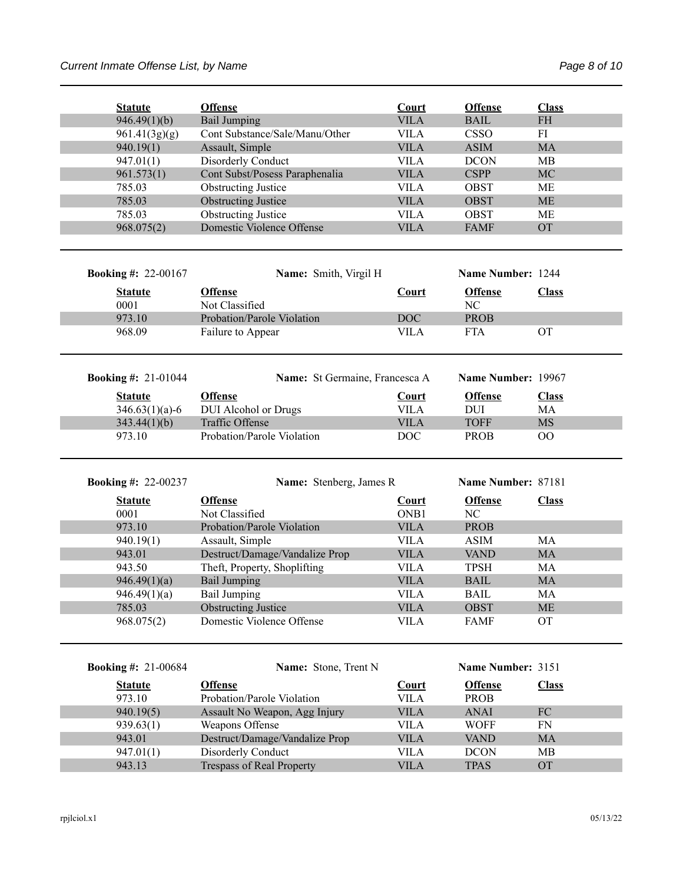| <b>Statute</b>             | <b>Offense</b>                                          | Court                      | <b>Offense</b>             | <b>Class</b>                      |  |
|----------------------------|---------------------------------------------------------|----------------------------|----------------------------|-----------------------------------|--|
| 946.49(1)(b)               | <b>Bail Jumping</b>                                     | <b>VILA</b>                | <b>BAIL</b>                | $\ensuremath{\mathsf{FH}}\xspace$ |  |
| 961.41(3g)(g)              | Cont Substance/Sale/Manu/Other                          | <b>VILA</b>                | <b>CSSO</b>                | FI                                |  |
| 940.19(1)                  | Assault, Simple                                         | <b>VILA</b>                | <b>ASIM</b>                | <b>MA</b>                         |  |
| 947.01(1)                  | Disorderly Conduct                                      | <b>VILA</b>                | <b>DCON</b>                | MВ                                |  |
| 961.573(1)                 | Cont Subst/Posess Paraphenalia                          | <b>VILA</b>                | <b>CSPP</b>                | MC                                |  |
| 785.03                     | <b>Obstructing Justice</b>                              | <b>VILA</b>                | <b>OBST</b>                | МE                                |  |
| 785.03                     | <b>Obstructing Justice</b>                              | <b>VILA</b>                | <b>OBST</b>                | <b>ME</b>                         |  |
| 785.03                     | <b>Obstructing Justice</b>                              | <b>VILA</b>                | <b>OBST</b>                | МE                                |  |
| 968.075(2)                 | Domestic Violence Offense                               | <b>VILA</b>                | <b>FAMF</b>                | <b>OT</b>                         |  |
| <b>Booking #: 22-00167</b> | Name: Smith, Virgil H                                   |                            | Name Number: 1244          |                                   |  |
| <b>Statute</b><br>0001     | <b>Offense</b><br>Not Classified                        | Court                      | <b>Offense</b><br>NC       | <b>Class</b>                      |  |
| 973.10                     | Probation/Parole Violation                              | <b>DOC</b>                 | <b>PROB</b>                |                                   |  |
| 968.09                     | Failure to Appear                                       | <b>VILA</b>                | <b>FTA</b>                 | <b>OT</b>                         |  |
| <b>Booking #: 21-01044</b> | Name: St Germaine, Francesca A                          |                            | Name Number: 19967         |                                   |  |
| <b>Statute</b>             | <b>Offense</b>                                          | <b>Court</b>               | <b>Offense</b>             | <b>Class</b>                      |  |
| $346.63(1)(a)-6$           | DUI Alcohol or Drugs                                    | <b>VILA</b>                | <b>DUI</b>                 | MA                                |  |
| 343.44(1)(b)               | Traffic Offense                                         | <b>VILA</b>                | <b>TOFF</b>                | <b>MS</b>                         |  |
| 973.10                     | Probation/Parole Violation                              | <b>DOC</b>                 | <b>PROB</b>                | $\rm OO$                          |  |
|                            |                                                         |                            |                            |                                   |  |
| <b>Booking #: 22-00237</b> | Name: Stenberg, James R                                 |                            | Name Number: 87181         |                                   |  |
|                            |                                                         |                            |                            |                                   |  |
| <b>Statute</b>             | <b>Offense</b>                                          | Court                      | <b>Offense</b>             | <b>Class</b>                      |  |
| 0001                       | Not Classified                                          | ONB1                       | NC                         |                                   |  |
| 973.10                     | Probation/Parole Violation                              | <b>VILA</b>                | <b>PROB</b>                |                                   |  |
| 940.19(1)                  | Assault, Simple                                         | <b>VILA</b>                | <b>ASIM</b>                | MA                                |  |
| 943.01<br>943.50           | Destruct/Damage/Vandalize Prop                          | <b>VILA</b>                | <b>VAND</b><br><b>TPSH</b> | MA                                |  |
|                            | Theft, Property, Shoplifting                            | <b>VILA</b>                |                            | MA                                |  |
| 946.49(1)(a)               | <b>Bail Jumping</b>                                     | <b>VILA</b>                | <b>BAIL</b>                | <b>MA</b>                         |  |
| 946.49(1)(a)               | <b>Bail Jumping</b>                                     | <b>VILA</b>                | <b>BAIL</b>                | MA                                |  |
| 785.03<br>968.075(2)       | <b>Obstructing Justice</b><br>Domestic Violence Offense | <b>VILA</b><br><b>VILA</b> | <b>OBST</b><br><b>FAMF</b> | <b>ME</b><br><b>OT</b>            |  |
|                            |                                                         |                            |                            |                                   |  |
| <b>Booking #: 21-00684</b> | Name: Stone, Trent N                                    |                            | Name Number: 3151          |                                   |  |
| <b>Statute</b>             | <b>Offense</b>                                          | <b>Court</b>               | <b>Offense</b>             | <b>Class</b>                      |  |
| 973.10                     | Probation/Parole Violation                              | <b>VILA</b>                | PROB                       |                                   |  |
| 940.19(5)                  | Assault No Weapon, Agg Injury                           | <b>VILA</b>                | <b>ANAI</b>                | FC                                |  |
| 939.63(1)                  | Weapons Offense                                         | <b>VILA</b>                | <b>WOFF</b>                | FN                                |  |
| 943.01                     | Destruct/Damage/Vandalize Prop                          | <b>VILA</b>                | <b>VAND</b>                | <b>MA</b>                         |  |
| 947.01(1)<br>943.13        | Disorderly Conduct<br><b>Trespass of Real Property</b>  | <b>VILA</b><br><b>VILA</b> | <b>DCON</b><br><b>TPAS</b> | MB<br>OT                          |  |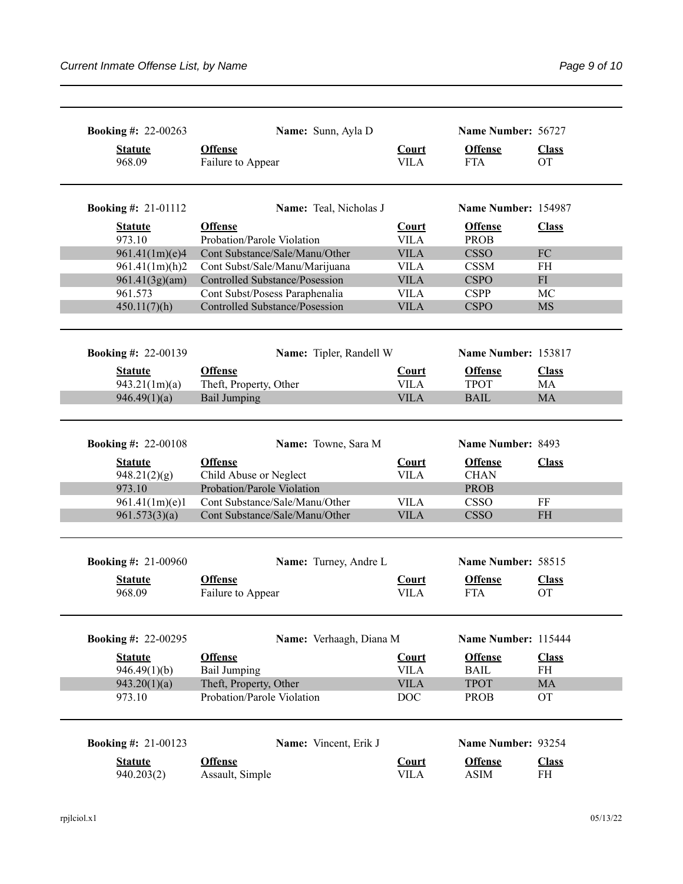| <b>Booking #: 22-00263</b><br><b>Statute</b><br>968.09                                                    | Name: Sunn, Ayla D<br><b>Offense</b><br>Failure to Appear                                                                                                         | Court<br><b>VILA</b>                                      | Name Number: 56727<br><b>Offense</b><br><b>FTA</b>                                              | <b>Class</b><br><b>OT</b>       |
|-----------------------------------------------------------------------------------------------------------|-------------------------------------------------------------------------------------------------------------------------------------------------------------------|-----------------------------------------------------------|-------------------------------------------------------------------------------------------------|---------------------------------|
| <b>Booking #: 21-01112</b>                                                                                | Name: Teal, Nicholas J                                                                                                                                            |                                                           | Name Number: 154987                                                                             |                                 |
| <b>Statute</b>                                                                                            | <b>Offense</b>                                                                                                                                                    | <b>Court</b>                                              | <b>Offense</b>                                                                                  | <b>Class</b>                    |
| 973.10<br>961.41(1m)(e)4                                                                                  | Probation/Parole Violation<br>Cont Substance/Sale/Manu/Other                                                                                                      | <b>VILA</b><br><b>VILA</b>                                | <b>PROB</b><br><b>CSSO</b>                                                                      | FC                              |
| 961.41(1m)(h)2                                                                                            | Cont Subst/Sale/Manu/Marijuana                                                                                                                                    | <b>VILA</b>                                               | <b>CSSM</b>                                                                                     | FH                              |
| 961.41(3g)(am)                                                                                            | Controlled Substance/Posession                                                                                                                                    | <b>VILA</b>                                               | <b>CSPO</b>                                                                                     | FI                              |
| 961.573                                                                                                   | Cont Subst/Posess Paraphenalia                                                                                                                                    | <b>VILA</b>                                               | <b>CSPP</b>                                                                                     | МC                              |
| 450.11(7)(h)                                                                                              | Controlled Substance/Posession                                                                                                                                    | <b>VILA</b>                                               | <b>CSPO</b>                                                                                     | <b>MS</b>                       |
| <b>Booking #: 22-00139</b>                                                                                | Name: Tipler, Randell W                                                                                                                                           |                                                           | Name Number: 153817                                                                             |                                 |
| <b>Statute</b>                                                                                            | <b>Offense</b>                                                                                                                                                    | Court                                                     | <b>Offense</b>                                                                                  | <b>Class</b>                    |
| 943.21(1m)(a)                                                                                             | Theft, Property, Other                                                                                                                                            | <b>VILA</b>                                               | <b>TPOT</b>                                                                                     | MA                              |
| 946.49(1)(a)                                                                                              | <b>Bail Jumping</b>                                                                                                                                               | <b>VILA</b>                                               | <b>BAIL</b>                                                                                     | <b>MA</b>                       |
| <b>Booking #: 22-00108</b><br><b>Statute</b><br>948.21(2)(g)<br>973.10<br>961.41(1m)(e)1<br>961.573(3)(a) | Name: Towne, Sara M<br><b>Offense</b><br>Child Abuse or Neglect<br>Probation/Parole Violation<br>Cont Substance/Sale/Manu/Other<br>Cont Substance/Sale/Manu/Other | <b>Court</b><br><b>VILA</b><br><b>VILA</b><br><b>VILA</b> | Name Number: 8493<br><b>Offense</b><br><b>CHAN</b><br><b>PROB</b><br><b>CSSO</b><br><b>CSSO</b> | <b>Class</b><br>FF<br><b>FH</b> |
| <b>Booking #: 21-00960</b>                                                                                | Name: Turney, Andre L                                                                                                                                             |                                                           | Name Number: 58515                                                                              |                                 |
| <b>Statute</b>                                                                                            | <b>Offense</b>                                                                                                                                                    | <b>Court</b>                                              | <b>Offense</b>                                                                                  | <b>Class</b>                    |
| 968.09                                                                                                    | Failure to Appear                                                                                                                                                 | <b>VILA</b>                                               | <b>FTA</b>                                                                                      | <b>OT</b>                       |
| <b>Booking #: 22-00295</b>                                                                                | Name: Verhaagh, Diana M                                                                                                                                           |                                                           | Name Number: 115444                                                                             |                                 |
| <b>Statute</b>                                                                                            | <b>Offense</b>                                                                                                                                                    | Court                                                     | <b>Offense</b>                                                                                  | <b>Class</b>                    |
| 946.49(1)(b)                                                                                              | <b>Bail Jumping</b>                                                                                                                                               | <b>VILA</b>                                               | <b>BAIL</b>                                                                                     | FH                              |
| 943.20(1)(a)                                                                                              | Theft, Property, Other                                                                                                                                            | <b>VILA</b>                                               | <b>TPOT</b>                                                                                     | <b>MA</b>                       |
| 973.10                                                                                                    | Probation/Parole Violation                                                                                                                                        | <b>DOC</b>                                                | <b>PROB</b>                                                                                     | <b>OT</b>                       |
| <b>Booking #: 21-00123</b>                                                                                | Name: Vincent, Erik J                                                                                                                                             |                                                           | Name Number: 93254                                                                              |                                 |
| <b>Statute</b>                                                                                            | <b>Offense</b>                                                                                                                                                    | Court                                                     | <b>Offense</b>                                                                                  | <b>Class</b>                    |
| 940.203(2)                                                                                                | Assault, Simple                                                                                                                                                   | <b>VILA</b>                                               | <b>ASIM</b>                                                                                     | FH                              |
|                                                                                                           |                                                                                                                                                                   |                                                           |                                                                                                 |                                 |